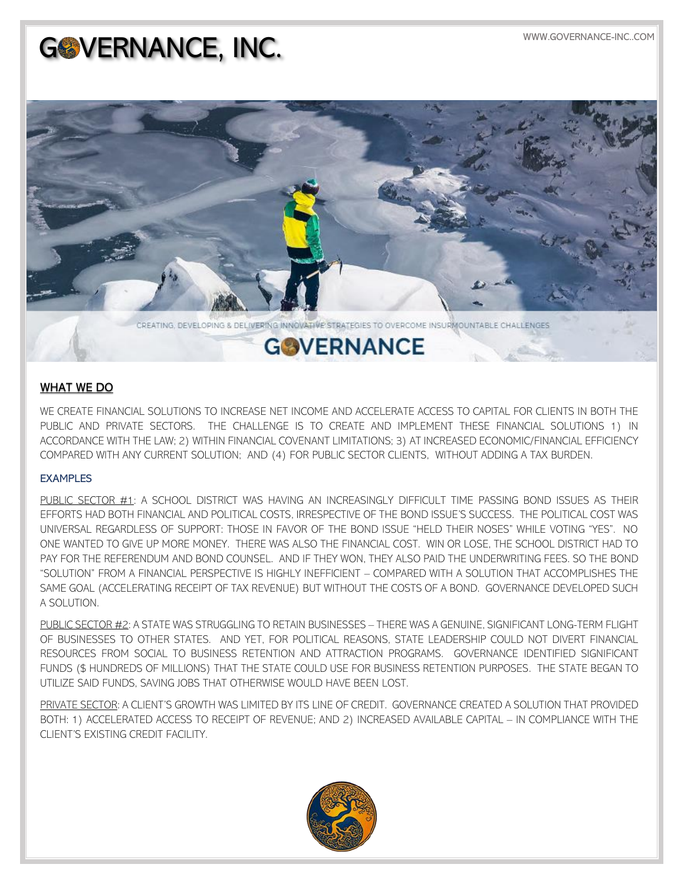## GOVERNANCE, INC.



## WHAT WE DO

WE CREATE FINANCIAL SOLUTIONS TO INCREASE NET INCOME AND ACCELERATE ACCESS TO CAPITAL FOR CLIENTS IN BOTH THE PUBLIC AND PRIVATE SECTORS. THE CHALLENGE IS TO CREATE AND IMPLEMENT THESE FINANCIAL SOLUTIONS 1) IN ACCORDANCE WITH THE LAW; 2) WITHIN FINANCIAL COVENANT LIMITATIONS; 3) AT INCREASED ECONOMIC/FINANCIAL EFFICIENCY COMPARED WITH ANY CURRENT SOLUTION; AND (4) FOR PUBLIC SECTOR CLIENTS, WITHOUT ADDING A TAX BURDEN.

## **EXAMPLES**

PUBLIC SECTOR #1: A SCHOOL DISTRICT WAS HAVING AN INCREASINGLY DIFFICULT TIME PASSING BOND ISSUES AS THEIR EFFORTS HAD BOTH FINANCIAL AND POLITICAL COSTS, IRRESPECTIVE OF THE BOND ISSUE'S SUCCESS. THE POLITICAL COST WAS UNIVERSAL REGARDLESS OF SUPPORT: THOSE IN FAVOR OF THE BOND ISSUE "HELD THEIR NOSES" WHILE VOTING "YES". NO ONE WANTED TO GIVE UP MORE MONEY. THERE WAS ALSO THE FINANCIAL COST. WIN OR LOSE, THE SCHOOL DISTRICT HAD TO PAY FOR THE REFERENDUM AND BOND COUNSEL. AND IF THEY WON, THEY ALSO PAID THE UNDERWRITING FEES. SO THE BOND "SOLUTION" FROM A FINANCIAL PERSPECTIVE IS HIGHLY INEFFICIENT – COMPARED WITH A SOLUTION THAT ACCOMPLISHES THE SAME GOAL (ACCELERATING RECEIPT OF TAX REVENUE) BUT WITHOUT THE COSTS OF A BOND. GOVERNANCE DEVELOPED SUCH A SOLUTION.

PUBLIC SECTOR #2: A STATE WAS STRUGGLING TO RETAIN BUSINESSES – THERE WAS A GENUINE, SIGNIFICANT LONG-TERM FLIGHT OF BUSINESSES TO OTHER STATES. AND YET, FOR POLITICAL REASONS, STATE LEADERSHIP COULD NOT DIVERT FINANCIAL RESOURCES FROM SOCIAL TO BUSINESS RETENTION AND ATTRACTION PROGRAMS. GOVERNANCE IDENTIFIED SIGNIFICANT FUNDS (\$ HUNDREDS OF MILLIONS) THAT THE STATE COULD USE FOR BUSINESS RETENTION PURPOSES. THE STATE BEGAN TO UTILIZE SAID FUNDS, SAVING JOBS THAT OTHERWISE WOULD HAVE BEEN LOST.

PRIVATE SECTOR: A CLIENT'S GROWTH WAS LIMITED BY ITS LINE OF CREDIT. GOVERNANCE CREATED A SOLUTION THAT PROVIDED BOTH: 1) ACCELERATED ACCESS TO RECEIPT OF REVENUE; AND 2) INCREASED AVAILABLE CAPITAL – IN COMPLIANCE WITH THE CLIENT'S EXISTING CREDIT FACILITY.